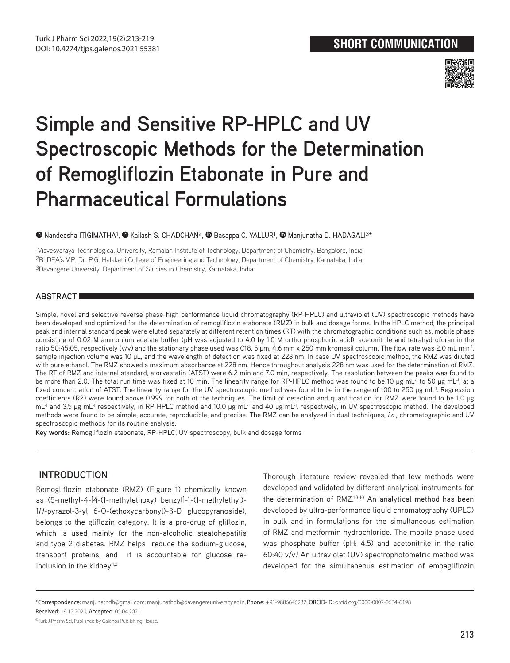

# **Simple and Sensitive RP-HPLC and UV Spectroscopic Methods for the Determination of Remogliflozin Etabonate in Pure and Pharmaceutical Formulations**

## $\bullet$ Nandeesha ITIGIMATHA<sup>1</sup>,  $\bullet$  Kailash S. CHADCHAN<sup>2</sup>,  $\bullet$  Basappa C. YALLUR<sup>1</sup>,  $\bullet$  Manjunatha D. HADAGALI<sup>3\*</sup>

1Visvesvaraya Technological University, Ramaiah Institute of Technology, Department of Chemistry, Bangalore, India 2BLDEA's V.P. Dr. P.G. Halakatti College of Engineering and Technology, Department of Chemistry, Karnataka, India 3Davangere University, Department of Studies in Chemistry, Karnataka, India

## **ABSTRACT**

Simple, novel and selective reverse phase-high performance liquid chromatography (RP-HPLC) and ultraviolet (UV) spectroscopic methods have been developed and optimized for the determination of remogliflozin etabonate (RMZ) in bulk and dosage forms. In the HPLC method, the principal peak and internal standard peak were eluted separately at different retention times (RT) with the chromatographic conditions such as, mobile phase consisting of 0.02 M ammonium acetate buffer (pH was adjusted to 4.0 by 1.0 M ortho phosphoric acid), acetonitrile and tetrahydrofuran in the ratio 50:45:05, respectively (v/v) and the stationary phase used was C18, 5 µm, 4.6 mm x 250 mm kromasil column. The flow rate was 2.0 mL min<sup>-1</sup>, sample injection volume was 10 µL, and the wavelength of detection was fixed at 228 nm. In case UV spectroscopic method, the RMZ was diluted with pure ethanol. The RMZ showed a maximum absorbance at 228 nm. Hence throughout analysis 228 nm was used for the determination of RMZ. The RT of RMZ and internal standard, atorvastatin (ATST) were 6.2 min and 7.0 min, respectively. The resolution between the peaks was found to be more than 2.0. The total run time was fixed at 10 min. The linearity range for RP-HPLC method was found to be 10 µg mL<sup>-1</sup> to 50 µg mL<sup>-1</sup>, at a fixed concentration of ATST. The linearity range for the UV spectroscopic method was found to be in the range of 100 to 250 µg mL<sup>-1</sup>. Regression coefficients (R2) were found above 0.999 for both of the techniques. The limit of detection and quantification for RMZ were found to be 1.0 µg mL-1 and 3.5 µg mL-1 respectively, in RP-HPLC method and 10.0 µg mL-1 and 40 µg mL-1, respectively, in UV spectroscopic method. The developed methods were found to be simple, accurate, reproducible, and precise. The RMZ can be analyzed in dual techniques, *i.e.*, chromatographic and UV spectroscopic methods for its routine analysis.

**Key words:** Remogliflozin etabonate, RP-HPLC, UV spectroscopy, bulk and dosage forms

# **INTRODUCTION**

Remogliflozin etabonate (RMZ) (Figure 1) chemically known as (5-methyl-4-[4-(1-methylethoxy) benzyl]-1-(1-methylethyl)- 1*H*-pyrazol-3-yl 6-O-(ethoxycarbonyl)-β-D glucopyranoside), belongs to the gliflozin category. It is a pro-drug of gliflozin, which is used mainly for the non-alcoholic steatohepatitis and type 2 diabetes. RMZ helps reduce the sodium-glucose, transport proteins, and it is accountable for glucose reinclusion in the kidney.<sup>1,2</sup>

Thorough literature review revealed that few methods were developed and validated by different analytical instruments for the determination of RMZ.1,3-10 An analytical method has been developed by ultra-performance liquid chromatography (UPLC) in bulk and in formulations for the simultaneous estimation of RMZ and metformin hydrochloride. The mobile phase used was phosphate buffer (pH: 4.5) and acetonitrile in the ratio 60:40 v/v.1 An ultraviolet (UV) spectrophotometric method was developed for the simultaneous estimation of empagliflozin

<sup>\*</sup>Correspondence: manjunathdh@gmail.com; manjunathdh@davangereuniversity.ac.in, Phone: +91-9886646232, ORCID-ID: orcid.org/0000-0002-0634-6198 Received: 19.12.2020, Accepted: 05.04.2021

<sup>©</sup>Turk J Pharm Sci, Published by Galenos Publishing House.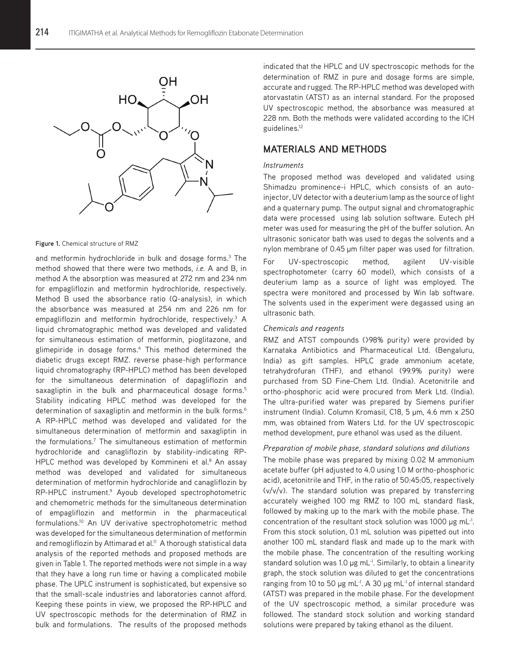

**Figure 1.** Chemical structure of RMZ

and metformin hydrochloride in bulk and dosage forms.<sup>3</sup> The method showed that there were two methods, *i.e.* A and B, in method A the absorption was measured at 272 nm and 234 nm for empagliflozin and metformin hydrochloride, respectively. Method B used the absorbance ratio (Q-analysis), in which the absorbance was measured at 254 nm and 226 nm for empagliflozin and metformin hydrochloride, respectively.<sup>3</sup> A liquid chromatographic method was developed and validated for simultaneous estimation of metformin, pioglitazone, and glimepiride in dosage forms.<sup>4</sup> This method determined the diabetic drugs except RMZ. reverse phase-high performance liquid chromatography (RP-HPLC) method has been developed for the simultaneous determination of dapagliflozin and saxagliptin in the bulk and pharmaceutical dosage forms.<sup>5</sup> Stability indicating HPLC method was developed for the determination of saxagliptin and metformin in the bulk forms.<sup>6</sup> A RP-HPLC method was developed and validated for the simultaneous determination of metformin and saxagliptin in the formulations.7 The simultaneous estimation of metformin hydrochloride and canagliflozin by stability-indicating RP-HPLC method was developed by Kommineni et al.<sup>8</sup> An assay method was developed and validated for simultaneous determination of metformin hydrochloride and canagliflozin by RP-HPLC instrument.<sup>9</sup> Ayoub developed spectrophotometric and chemometric methods for the simultaneous determination of empagliflozin and metformin in the pharmaceutical formulations.10 An UV derivative spectrophotometric method was developed for the simultaneous determination of metformin and remogliflozin by Attimarad et al.<sup>11</sup> A thorough statistical data analysis of the reported methods and proposed methods are given in Table 1. The reported methods were not simple in a way that they have a long run time or having a complicated mobile phase. The UPLC instrument is sophisticated, but expensive so that the small-scale industries and laboratories cannot afford. Keeping these points in view, we proposed the RP-HPLC and UV spectroscopic methods for the determination of RMZ in bulk and formulations. The results of the proposed methods

indicated that the HPLC and UV spectroscopic methods for the determination of RMZ in pure and dosage forms are simple, accurate and rugged. The RP-HPLC method was developed with atorvastatin (ATST) as an internal standard. For the proposed UV spectroscopic method, the absorbance was measured at 228 nm. Both the methods were validated according to the ICH guidelines.12

# **MATERIALS AND METHODS**

#### *Instruments*

The proposed method was developed and validated using Shimadzu prominence-i HPLC, which consists of an autoinjector, UV detector with a deuterium lamp as the source of light and a quaternary pump. The output signal and chromatographic data were processed using lab solution software. Eutech pH meter was used for measuring the pH of the buffer solution. An ultrasonic sonicator bath was used to degas the solvents and a nylon membrane of 0.45 µm filter paper was used for filtration. For UV-spectroscopic method, agilent UV-visible spectrophotometer (carry 60 model), which consists of a deuterium lamp as a source of light was employed. The spectra were monitored and processed by Win lab software. The solvents used in the experiment were degassed using an ultrasonic bath.

#### *Chemicals and reagents*

RMZ and ATST compounds (>98% purity) were provided by Karnataka Antibiotics and Pharmaceutical Ltd. (Bengaluru, India) as gift samples. HPLC grade ammonium acetate, tetrahydrofuran (THF), and ethanol (99.9% purity) were purchased from SD Fine-Chem Ltd. (India). Acetonitrile and ortho-phosphoric acid were procured from Merk Ltd. (India). The ultra-purified water was prepared by Siemens purifier instrument (India). Column Kromasil, C18, 5 µm, 4.6 mm x 250 mm, was obtained from Waters Ltd. for the UV spectroscopic method development, pure ethanol was used as the diluent.

#### *Preparation of mobile phase, standard solutions and dilutions*

The mobile phase was prepared by mixing 0.02 M ammonium acetate buffer (pH adjusted to 4.0 using 1.0 M ortho-phosphoric acid), acetonitrile and THF, in the ratio of 50:45:05, respectively (v/v/v). The standard solution was prepared by transferring accurately weighed 100 mg RMZ to 100 mL standard flask, followed by making up to the mark with the mobile phase. The concentration of the resultant stock solution was 1000  $\mu$ g mL $^{-1}$ . From this stock solution, 0.1 mL solution was pipetted out into another 100 mL standard flask and made up to the mark with the mobile phase. The concentration of the resulting working standard solution was 1.0 µg mL<sup>-1</sup>. Similarly, to obtain a linearity graph, the stock solution was diluted to get the concentrations ranging from 10 to 50 µg mL<sup>-1</sup>. A 30 µg mL<sup>-1</sup> of internal standard (ATST) was prepared in the mobile phase. For the development of the UV spectroscopic method, a similar procedure was followed. The standard stock solution and working standard solutions were prepared by taking ethanol as the diluent.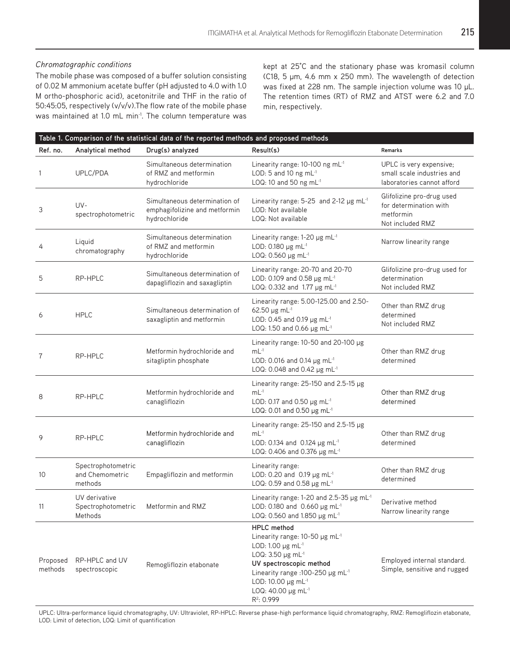## *Chromatographic conditions*

The mobile phase was composed of a buffer solution consisting of 0.02 M ammonium acetate buffer (pH adjusted to 4.0 with 1.0 M ortho-phosphoric acid), acetonitrile and THF in the ratio of 50:45:05, respectively (v/v/v).The flow rate of the mobile phase was maintained at 1.0 mL min-1. The column temperature was kept at 25°C and the stationary phase was kromasil column (C18, 5 µm, 4.6 mm x 250 mm). The wavelength of detection was fixed at 228 nm. The sample injection volume was 10 µL. The retention times (RT) of RMZ and ATST were 6.2 and 7.0 min, respectively.

| Table 1. Comparison of the statistical data of the reported methods and proposed methods |                                                                  |                                                                                 |                                                                                                                                                                                                                                                                        |                                                                                      |  |  |  |
|------------------------------------------------------------------------------------------|------------------------------------------------------------------|---------------------------------------------------------------------------------|------------------------------------------------------------------------------------------------------------------------------------------------------------------------------------------------------------------------------------------------------------------------|--------------------------------------------------------------------------------------|--|--|--|
| Ref. no.                                                                                 | Analytical method                                                | Drug(s) analyzed                                                                | Result(s)                                                                                                                                                                                                                                                              | Remarks                                                                              |  |  |  |
| 1                                                                                        | UPLC/PDA                                                         | Simultaneous determination<br>of RMZ and metformin<br>hydrochloride             | Linearity range: 10-100 ng mL-1<br>LOD: 5 and 10 ng mL-1<br>LOQ: 10 and 50 ng mL-1                                                                                                                                                                                     | UPLC is very expensive;<br>small scale industries and<br>laboratories cannot afford  |  |  |  |
| 3                                                                                        | $UV -$<br>spectrophotometric                                     | Simultaneous determination of<br>emphagifolizine and metformin<br>hydrochloride | Linearity range: 5-25 and 2-12 µg mL-1<br>LOD: Not available<br>LOQ: Not available                                                                                                                                                                                     | Glifolizine pro-drug used<br>for determination with<br>metformin<br>Not included RMZ |  |  |  |
| 4                                                                                        | Liquid<br>chromatography                                         | Simultaneous determination<br>of RMZ and metformin<br>hydrochloride             | Linearity range: $1-20$ µg mL <sup>-1</sup><br>LOD: 0.180 µg mL-1<br>LOQ: 0.560 µg mL-1                                                                                                                                                                                | Narrow linearity range                                                               |  |  |  |
| 5                                                                                        | RP-HPLC                                                          | Simultaneous determination of<br>dapagliflozin and saxagliptin                  | Linearity range: 20-70 and 20-70<br>LOD: 0.109 and 0.58 $\mu$ g mL <sup>-1</sup><br>LOQ: 0.332 and 1.77 µg mL <sup>-1</sup>                                                                                                                                            | Glifolizine pro-drug used for<br>determination<br>Not included RMZ                   |  |  |  |
| 6                                                                                        | <b>HPLC</b>                                                      | Simultaneous determination of<br>saxagliptin and metformin                      | Linearity range: 5.00-125.00 and 2.50-<br>62.50 $\mu$ g mL-1<br>LOD: 0.45 and 0.19 $\mu$ g mL <sup>-1</sup><br>LOQ: 1.50 and 0.66 $\mu$ g mL <sup>-1</sup>                                                                                                             | Other than RMZ drug<br>determined<br>Not included RMZ                                |  |  |  |
| 7                                                                                        | RP-HPLC                                                          | Metformin hydrochloride and<br>sitagliptin phosphate                            | Linearity range: 10-50 and 20-100 µg<br>$mL^{-1}$<br>LOD: 0.016 and 0.14 µg mL-1<br>LOQ: 0.048 and 0.42 $\mu$ g mL <sup>-1</sup>                                                                                                                                       | Other than RMZ drug<br>determined                                                    |  |  |  |
| 8                                                                                        | RP-HPLC                                                          | Metformin hydrochloride and<br>canagliflozin                                    | Linearity range: $25-150$ and $2.5-15$ µg<br>$mL^{-1}$<br>LOD: 0.17 and 0.50 µg mL-1<br>LOQ: 0.01 and 0.50 µg mL <sup>-1</sup>                                                                                                                                         | Other than RMZ drug<br>determined                                                    |  |  |  |
| 9                                                                                        | RP-HPLC                                                          | Metformin hydrochloride and<br>canagliflozin                                    | Linearity range: $25-150$ and $2.5-15$ µg<br>$mL^{-1}$<br>LOD: 0.134 and 0.124 µg mL-1<br>LOQ: 0.406 and 0.376 µg mL <sup>-1</sup>                                                                                                                                     | Other than RMZ drug<br>determined                                                    |  |  |  |
| 10                                                                                       | Spectrophotometric<br>and Chemometric<br>methods                 | Empagliflozin and metformin                                                     | Linearity range:<br>LOD: 0.20 and 0.19 µg mL-1<br>LOQ: 0.59 and 0.58 µg mL-1                                                                                                                                                                                           | Other than RMZ drug<br>determined                                                    |  |  |  |
| 11                                                                                       | UV derivative<br>Spectrophotometric Metformin and RMZ<br>Methods |                                                                                 | Linearity range: 1-20 and 2.5-35 $\mu$ g mL <sup>-1</sup><br>LOD: 0.180 and 0.660 µg mL <sup>-1</sup><br>LOQ: 0.560 and 1.850 µg mL <sup>-1</sup>                                                                                                                      | Derivative method<br>Narrow linearity range                                          |  |  |  |
| Proposed<br>methods                                                                      | RP-HPLC and UV<br>spectroscopic                                  | Remogliflozin etabonate                                                         | <b>HPLC</b> method<br>Linearity range: $10-50$ µg mL <sup>-1</sup><br>LOD: 1.00 $\mu$ g mL <sup>-1</sup><br>LOQ: 3.50 µg mL <sup>-1</sup><br>UV spectroscopic method<br>Linearity range : 100-250 µg mL-1<br>LOD: 10.00 µg mL-1<br>LOQ: 40.00 µg mL-1<br>$R^2$ : 0.999 | Employed internal standard.<br>Simple, sensitive and rugged                          |  |  |  |

UPLC: Ultra-performance liquid chromatography, UV: Ultraviolet, RP-HPLC: Reverse phase-high performance liquid chromatography, RMZ: Remogliflozin etabonate, LOD: Limit of detection, LOQ: Limit of quantification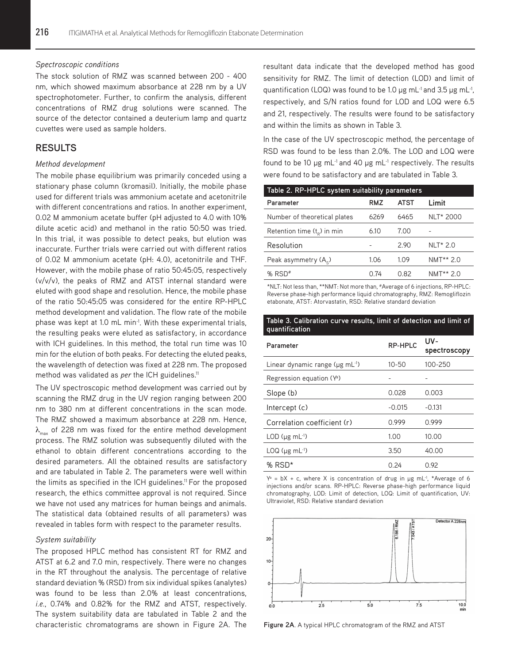#### *Spectroscopic conditions*

The stock solution of RMZ was scanned between 200 - 400 nm, which showed maximum absorbance at 228 nm by a UV spectrophotometer. Further, to confirm the analysis, different concentrations of RMZ drug solutions were scanned. The source of the detector contained a deuterium lamp and quartz cuvettes were used as sample holders.

# **RESULTS**

#### *Method development*

The mobile phase equilibrium was primarily conceded using a stationary phase column (kromasil). Initially, the mobile phase used for different trials was ammonium acetate and acetonitrile with different concentrations and ratios. In another experiment, 0.02 M ammonium acetate buffer (pH adjusted to 4.0 with 10% dilute acetic acid) and methanol in the ratio 50:50 was tried. In this trial, it was possible to detect peaks, but elution was inaccurate. Further trials were carried out with different ratios of 0.02 M ammonium acetate (pH: 4.0), acetonitrile and THF. However, with the mobile phase of ratio 50:45:05, respectively (v/v/v), the peaks of RMZ and ATST internal standard were eluted with good shape and resolution. Hence, the mobile phase of the ratio 50:45:05 was considered for the entire RP-HPLC method development and validation. The flow rate of the mobile phase was kept at 1.0 mL min<sup>-1</sup>. With these experimental trials, the resulting peaks were eluted as satisfactory, in accordance with ICH guidelines. In this method, the total run time was 10 min for the elution of both peaks. For detecting the eluted peaks, the wavelength of detection was fixed at 228 nm. The proposed method was validated as *per* the ICH guidelines.<sup>11</sup>

The UV spectroscopic method development was carried out by scanning the RMZ drug in the UV region ranging between 200 nm to 380 nm at different concentrations in the scan mode. The RMZ showed a maximum absorbance at 228 nm. Hence,  $\lambda_{\text{max}}$  of 228 nm was fixed for the entire method development process. The RMZ solution was subsequently diluted with the ethanol to obtain different concentrations according to the desired parameters. All the obtained results are satisfactory and are tabulated in Table 2. The parameters were well within the limits as specified in the ICH guidelines.<sup>11</sup> For the proposed research, the ethics committee approval is not required. Since we have not used any matrices for human beings and animals. The statistical data (obtained results of all parameters) was revealed in tables form with respect to the parameter results.

#### *System suitability*

The proposed HPLC method has consistent RT for RMZ and ATST at 6.2 and 7.0 min, respectively. There were no changes in the RT throughout the analysis. The percentage of relative standard deviation % (RSD) from six individual spikes (analytes) was found to be less than 2.0% at least concentrations, *i.e.*, 0.74% and 0.82% for the RMZ and ATST, respectively. The system suitability data are tabulated in Table 2 and the characteristic chromatograms are shown in Figure 2A. The resultant data indicate that the developed method has good sensitivity for RMZ. The limit of detection (LOD) and limit of quantification (LOQ) was found to be 1.0  $\mu$ g mL<sup>-1</sup> and 3.5  $\mu$ g mL<sup>-1</sup>, respectively, and S/N ratios found for LOD and LOQ were 6.5 and 21, respectively. The results were found to be satisfactory and within the limits as shown in Table 3.

In the case of the UV spectroscopic method, the percentage of RSD was found to be less than 2.0%. The LOD and LOQ were found to be 10  $\mu$ g mL<sup>-1</sup> and 40  $\mu$ g mL<sup>-1</sup> respectively. The results were found to be satisfactory and are tabulated in Table 3.

| Table 2. RP-HPLC system suitability parameters |      |             |                       |  |  |  |
|------------------------------------------------|------|-------------|-----------------------|--|--|--|
| Parameter                                      | RMZ  | <b>ATST</b> | Limit                 |  |  |  |
| Number of theoretical plates                   | 6269 | 6465        | NLT* 2000             |  |  |  |
| Retention time $(t_0)$ in min                  | 6.10 | 7.00        |                       |  |  |  |
| Resolution                                     |      | 2.90        | <b>NLT* 2.0</b>       |  |  |  |
| Peak asymmetry $(A_{\rm c})$                   | 1.06 | 1.09        | NMT <sup>**</sup> 2.0 |  |  |  |
| $%$ RSD <sup>#</sup>                           | በ 74 | 0.82        | $NMT** 2.0$           |  |  |  |

\*NLT: Not less than, \*\*NMT: Not more than, #Average of 6 injections, RP-HPLC: Reverse phase-high performance liquid chromatography, RMZ: Remogliflozin etabonate, ATST: Atorvastatin, RSD: Relative standard deviation

#### **Table 3. Calibration curve results, limit of detection and limit of quantification**

| Parameter                                   | RP-HPLC  | UV-<br>spectroscopy |  |
|---------------------------------------------|----------|---------------------|--|
| Linear dynamic range (µg mL <sup>-1</sup> ) | 10-50    | 100-250             |  |
| Regression equation (Y <sup>a</sup> )       |          |                     |  |
| Slope (b)                                   | 0.028    | 0.003               |  |
| Intercept (c)                               | $-0.015$ | $-0.131$            |  |
| Correlation coefficient (r)                 | 0.999    | 0.999               |  |
| LOD $(\mu g \text{ mL}^{-1})$               | 1.00     | 10.00               |  |
| $LOQ$ ( $\mu$ g mL $^{-1}$ )                | 3.50     | 40.00               |  |
| % RSD*                                      | 0.24     | 0.92                |  |

 $Y^a = bX + c$ , where X is concentration of drug in  $\mu$ g mL<sup>-1</sup>, \*Average of 6 injections and/or scans. RP-HPLC: Reverse phase-high performance liquid chromatography, LOD: Limit of detection, LOQ: Limit of quantification, UV: Ultraviolet, RSD: Relative standard deviation



**Figure 2A**. A typical HPLC chromatogram of the RMZ and ATST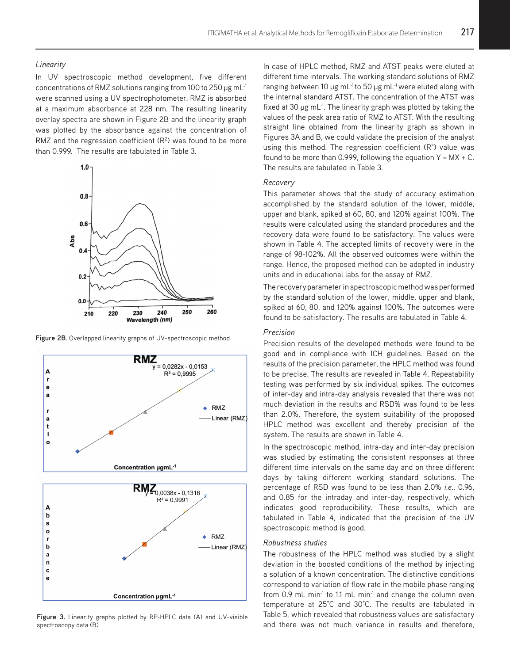#### *Linearity*

In UV spectroscopic method development, five different concentrations of RMZ solutions ranging from 100 to 250 µg mL-1 were scanned using a UV spectrophotometer. RMZ is absorbed at a maximum absorbance at 228 nm. The resulting linearity overlay spectra are shown in Figure 2B and the linearity graph was plotted by the absorbance against the concentration of RMZ and the regression coefficient  $(R<sup>2</sup>)$  was found to be more than 0.999. The results are tabulated in Table 3.



**Figure 2B**. Overlapped linearity graphs of UV-spectroscopic method



**Figure 3.** Linearity graphs plotted by RP-HPLC data (A) and UV-visible spectroscopy data (B)

In case of HPLC method, RMZ and ATST peaks were eluted at different time intervals. The working standard solutions of RMZ ranging between 10 µg mL<sup>-1</sup> to 50 µg mL<sup>-1</sup> were eluted along with the internal standard ATST. The concentration of the ATST was fixed at 30  $\mu$ g mL<sup>-1</sup>. The linearity graph was plotted by taking the values of the peak area ratio of RMZ to ATST. With the resulting straight line obtained from the linearity graph as shown in Figures 3A and B, we could validate the precision of the analyst using this method. The regression coefficient  $(R<sup>2</sup>)$  value was found to be more than 0.999, following the equation  $Y = MX + C$ . The results are tabulated in Table 3.

## *Recovery*

This parameter shows that the study of accuracy estimation accomplished by the standard solution of the lower, middle, upper and blank, spiked at 60, 80, and 120% against 100%. The results were calculated using the standard procedures and the recovery data were found to be satisfactory. The values were shown in Table 4. The accepted limits of recovery were in the range of 98-102%. All the observed outcomes were within the range. Hence, the proposed method can be adopted in industry units and in educational labs for the assay of RMZ.

The recovery parameter in spectroscopic method was performed by the standard solution of the lower, middle, upper and blank, spiked at 60, 80, and 120% against 100%. The outcomes were found to be satisfactory. The results are tabulated in Table 4.

## *Precision*

Precision results of the developed methods were found to be good and in compliance with ICH guidelines. Based on the results of the precision parameter, the HPLC method was found to be precise. The results are revealed in Table 4. Repeatability testing was performed by six individual spikes. The outcomes of inter-day and intra-day analysis revealed that there was not much deviation in the results and RSD% was found to be less than 2.0%. Therefore, the system suitability of the proposed HPLC method was excellent and thereby precision of the system. The results are shown in Table 4.

In the spectroscopic method, intra-day and inter-day precision was studied by estimating the consistent responses at three different time intervals on the same day and on three different days by taking different working standard solutions. The percentage of RSD was found to be less than 2.0% *i.e*., 0.96, and 0.85 for the intraday and inter-day, respectively, which indicates good reproducibility. These results, which are tabulated in Table 4, indicated that the precision of the UV spectroscopic method is good.

## *Robustness studies*

The robustness of the HPLC method was studied by a slight deviation in the boosted conditions of the method by injecting a solution of a known concentration. The distinctive conditions correspond to variation of flow rate in the mobile phase ranging from 0.9 mL min<sup>-1</sup> to 1.1 mL min<sup>-1</sup> and change the column oven temperature at 25°C and 30°C. The results are tabulated in Table 5, which revealed that robustness values are satisfactory and there was not much variance in results and therefore,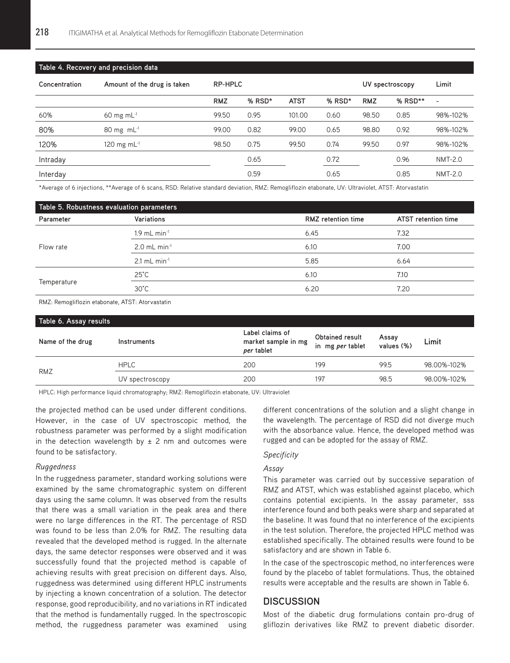| Table 4. Recovery and precision data |                                 |            |          |             |                 |            |         |                          |
|--------------------------------------|---------------------------------|------------|----------|-------------|-----------------|------------|---------|--------------------------|
| Concentration                        | Amount of the drug is taken     | RP-HPLC    |          |             | UV spectroscopy |            | Limit   |                          |
|                                      |                                 | <b>RMZ</b> | $%$ RSD* | <b>ATST</b> | % RSD*          | <b>RMZ</b> | % RSD** | $\overline{\phantom{a}}$ |
| 60%                                  | $60 \text{ mg} \text{ mL}^{-1}$ | 99.50      | 0.95     | 101.00      | 0.60            | 98.50      | 0.85    | 98%-102%                 |
| 80%                                  | $80 \text{ mg} \text{ mL}^{-1}$ | 99.00      | 0.82     | 99.00       | 0.65            | 98.80      | 0.92    | 98%-102%                 |
| 120%                                 | 120 mg m $L^{-1}$               | 98.50      | 0.75     | 99.50       | 0.74            | 99.50      | 0.97    | 98%-102%                 |
| Intraday                             |                                 |            | 0.65     |             | 0.72            |            | 0.96    | <b>NMT-2.0</b>           |
| Interday                             |                                 |            | 0.59     |             | 0.65            |            | 0.85    | <b>NMT-2.0</b>           |

\*Average of 6 injections, \*\*Average of 6 scans, RSD: Relative standard deviation, RMZ: Remogliflozin etabonate, UV: Ultraviolet, ATST: Atorvastatin

| Table 5. Robustness evaluation parameters |                            |                                                  |      |  |  |
|-------------------------------------------|----------------------------|--------------------------------------------------|------|--|--|
| Parameter                                 | Variations                 | <b>RMZ</b> retention time<br>ATST retention time |      |  |  |
|                                           | $1.9$ mL min <sup>-1</sup> | 6.45                                             | 7.32 |  |  |
| Flow rate                                 | $2.0$ mL min <sup>-1</sup> | 6.10                                             | 7.00 |  |  |
|                                           | $2.1$ mL min <sup>-1</sup> | 5.85                                             | 6.64 |  |  |
|                                           | $25^{\circ}$ C             | 6.10                                             | 7.10 |  |  |
|                                           | $30^{\circ}$ C             | 6.20                                             | 7.20 |  |  |
| Temperature                               |                            |                                                  |      |  |  |

RMZ: Remogliflozin etabonate, ATST: Atorvastatin

| Table 6. Assay results                               |             |                                            |                     |             |  |  |
|------------------------------------------------------|-------------|--------------------------------------------|---------------------|-------------|--|--|
| Label claims of<br>market sample in mg<br>per tablet |             | <b>Obtained result</b><br>in mg per tablet | Assay<br>values (%) | Limit       |  |  |
| <b>HPLC</b>                                          | 200         | 199                                        | 99.5                | 98.00%-102% |  |  |
| UV spectroscopy                                      | 200         | 197                                        | 98.5                | 98.00%-102% |  |  |
|                                                      | Instruments |                                            |                     |             |  |  |

HPLC: High performance liquid chromatography; RMZ: Remogliflozin etabonate, UV: Ultraviolet

the projected method can be used under different conditions. However, in the case of UV spectroscopic method, the robustness parameter was performed by a slight modification in the detection wavelength by  $\pm$  2 nm and outcomes were found to be satisfactory.

#### *Ruggedness*

In the ruggedness parameter, standard working solutions were examined by the same chromatographic system on different days using the same column. It was observed from the results that there was a small variation in the peak area and there were no large differences in the RT. The percentage of RSD was found to be less than 2.0% for RMZ. The resulting data revealed that the developed method is rugged. In the alternate days, the same detector responses were observed and it was successfully found that the projected method is capable of achieving results with great precision on different days. Also, ruggedness was determined using different HPLC instruments by injecting a known concentration of a solution. The detector response, good reproducibility, and no variations in RT indicated that the method is fundamentally rugged. In the spectroscopic method, the ruggedness parameter was examined using different concentrations of the solution and a slight change in the wavelength. The percentage of RSD did not diverge much with the absorbance value. Hence, the developed method was rugged and can be adopted for the assay of RMZ.

### *Specificity*

## *Assay*

This parameter was carried out by successive separation of RMZ and ATST, which was established against placebo, which contains potential excipients. In the assay parameter, sss interference found and both peaks were sharp and separated at the baseline. It was found that no interference of the excipients in the test solution. Therefore, the projected HPLC method was established specifically. The obtained results were found to be satisfactory and are shown in Table 6.

In the case of the spectroscopic method, no interferences were found by the placebo of tablet formulations. Thus, the obtained results were acceptable and the results are shown in Table 6.

# **DISCUSSION**

Most of the diabetic drug formulations contain pro-drug of gliflozin derivatives like RMZ to prevent diabetic disorder.